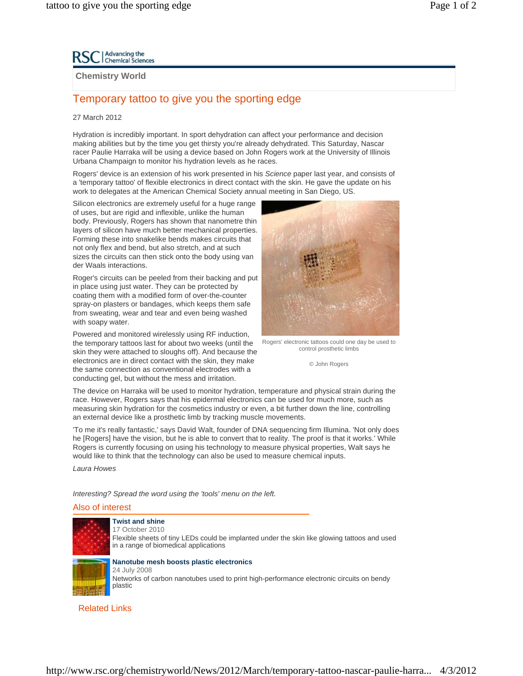#### Advancing the **Chemical Sciences**

**Chemistry World**

# Temporary tattoo to give you the sporting edge

## 27 March 2012

Hydration is incredibly important. In sport dehydration can affect your performance and decision making abilities but by the time you get thirsty you're already dehydrated. This Saturday, Nascar racer Paulie Harraka will be using a device based on John Rogers work at the University of Illinois Urbana Champaign to monitor his hydration levels as he races.

Rogers' device is an extension of his work presented in his *Science* paper last year, and consists of a 'temporary tattoo' of flexible electronics in direct contact with the skin. He gave the update on his work to delegates at the American Chemical Society annual meeting in San Diego, US.

Silicon electronics are extremely useful for a huge range of uses, but are rigid and inflexible, unlike the human body. Previously, Rogers has shown that nanometre thin layers of silicon have much better mechanical properties. Forming these into snakelike bends makes circuits that not only flex and bend, but also stretch, and at such sizes the circuits can then stick onto the body using van der Waals interactions.

Roger's circuits can be peeled from their backing and put in place using just water. They can be protected by coating them with a modified form of over-the-counter spray-on plasters or bandages, which keeps them safe from sweating, wear and tear and even being washed with soapy water.

Powered and monitored wirelessly using RF induction, the temporary tattoos last for about two weeks (until the skin they were attached to sloughs off). And because the electronics are in direct contact with the skin, they make the same connection as conventional electrodes with a conducting gel, but without the mess and irritation.



Rogers' electronic tattoos could one day be used to control prosthetic limbs

© John Rogers

The device on Harraka will be used to monitor hydration, temperature and physical strain during the race. However, Rogers says that his epidermal electronics can be used for much more, such as measuring skin hydration for the cosmetics industry or even, a bit further down the line, controlling an external device like a prosthetic limb by tracking muscle movements.

'To me it's really fantastic,' says David Walt, founder of DNA sequencing firm Illumina. 'Not only does he [Rogers] have the vision, but he is able to convert that to reality. The proof is that it works.' While Rogers is currently focusing on using his technology to measure physical properties, Walt says he would like to think that the technology can also be used to measure chemical inputs.

*Laura Howes* 

*Interesting? Spread the word using the 'tools' menu on the left.*

### Also of interest



#### **Twist and shine** 17 October 2010

Flexible sheets of tiny LEDs could be implanted under the skin like glowing tattoos and used in a range of biomedical applications



#### **Nanotube mesh boosts plastic electronics**

24 July 2008 Networks of carbon nanotubes used to print high-performance electronic circuits on bendy plastic

Related Links